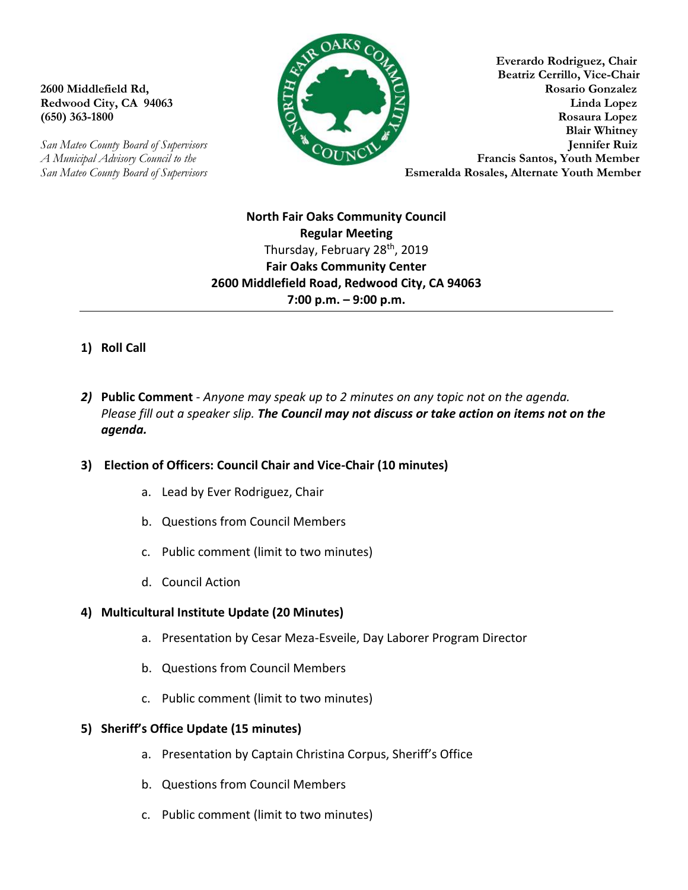*San Mateo County Board of Supervisors* **Esmeralda Rosales, Alternate Youth Member** 



**Everardo Rodriguez, Chair Beatriz Cerrillo, Vice-Chair 2600 Middlefield Rd, Rosario Gonzalez Redwood City, CA 94063 Linda Lopez (650) 363-1800 Rosaura Lopez Blair Whitney**  *San Mateo County Board of Supervisors* **Jennifer Ruiz**  *A Municipal Advisory Council to the* **Example 2018** 

# **North Fair Oaks Community Council Regular Meeting** Thursday, February 28<sup>th</sup>, 2019 **Fair Oaks Community Center 2600 Middlefield Road, Redwood City, CA 94063 7:00 p.m. – 9:00 p.m.**

- **1) Roll Call**
- *2)* **Public Comment** *Anyone may speak up to 2 minutes on any topic not on the agenda. Please fill out a speaker slip. The Council may not discuss or take action on items not on the agenda.*

## **3) Election of Officers: Council Chair and Vice-Chair (10 minutes)**

- a. Lead by Ever Rodriguez, Chair
- b. Questions from Council Members
- c. Public comment (limit to two minutes)
- d. Council Action

### **4) Multicultural Institute Update (20 Minutes)**

- a. Presentation by Cesar Meza-Esveile, Day Laborer Program Director
- b. Questions from Council Members
- c. Public comment (limit to two minutes)

### **5) Sheriff's Office Update (15 minutes)**

- a. Presentation by Captain Christina Corpus, Sheriff's Office
- b. Questions from Council Members
- c. Public comment (limit to two minutes)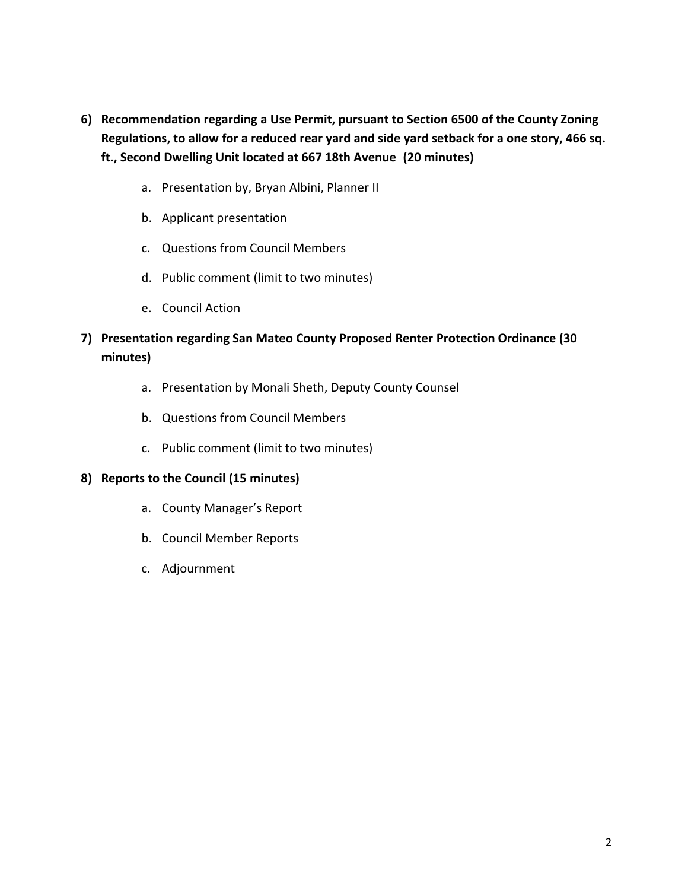- **6) Recommendation regarding a Use Permit, pursuant to Section 6500 of the County Zoning Regulations, to allow for a reduced rear yard and side yard setback for a one story, 466 sq. ft., Second Dwelling Unit located at 667 18th Avenue (20 minutes)**
	- a. Presentation by, Bryan Albini, Planner II
	- b. Applicant presentation
	- c. Questions from Council Members
	- d. Public comment (limit to two minutes)
	- e. Council Action

# **7) Presentation regarding San Mateo County Proposed Renter Protection Ordinance (30 minutes)**

- a. Presentation by Monali Sheth, Deputy County Counsel
- b. Questions from Council Members
- c. Public comment (limit to two minutes)

## **8) Reports to the Council (15 minutes)**

- a. County Manager's Report
- b. Council Member Reports
- c. Adjournment